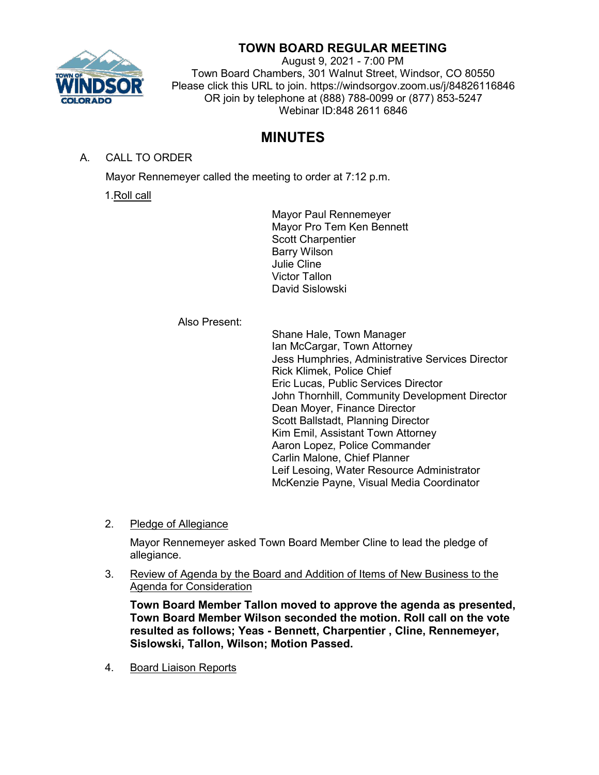

# **TOWN BOARD REGULAR MEETING**

August 9, 2021 - 7:00 PM Town Board Chambers, 301 Walnut Street, Windsor, CO 80550 Please click this URL to join. https://windsorgov.zoom.us/j/84826116846 OR join by telephone at (888) 788-0099 or (877) 853-5247 Webinar ID:848 2611 6846

# **MINUTES**

A. CALL TO ORDER

Mayor Rennemeyer called the meeting to order at 7:12 p.m.

1.Roll call

Mayor Paul Rennemeyer Mayor Pro Tem Ken Bennett Scott Charpentier Barry Wilson Julie Cline Victor Tallon David Sislowski

Also Present:

Shane Hale, Town Manager Ian McCargar, Town Attorney Jess Humphries, Administrative Services Director Rick Klimek, Police Chief Eric Lucas, Public Services Director John Thornhill, Community Development Director Dean Moyer, Finance Director Scott Ballstadt, Planning Director Kim Emil, Assistant Town Attorney Aaron Lopez, Police Commander Carlin Malone, Chief Planner Leif Lesoing, Water Resource Administrator McKenzie Payne, Visual Media Coordinator

2. Pledge of Allegiance

Mayor Rennemeyer asked Town Board Member Cline to lead the pledge of allegiance.

3. Review of Agenda by the Board and Addition of Items of New Business to the Agenda for Consideration

**Town Board Member Tallon moved to approve the agenda as presented, Town Board Member Wilson seconded the motion. Roll call on the vote resulted as follows; Yeas - Bennett, Charpentier , Cline, Rennemeyer, Sislowski, Tallon, Wilson; Motion Passed.**

4. Board Liaison Reports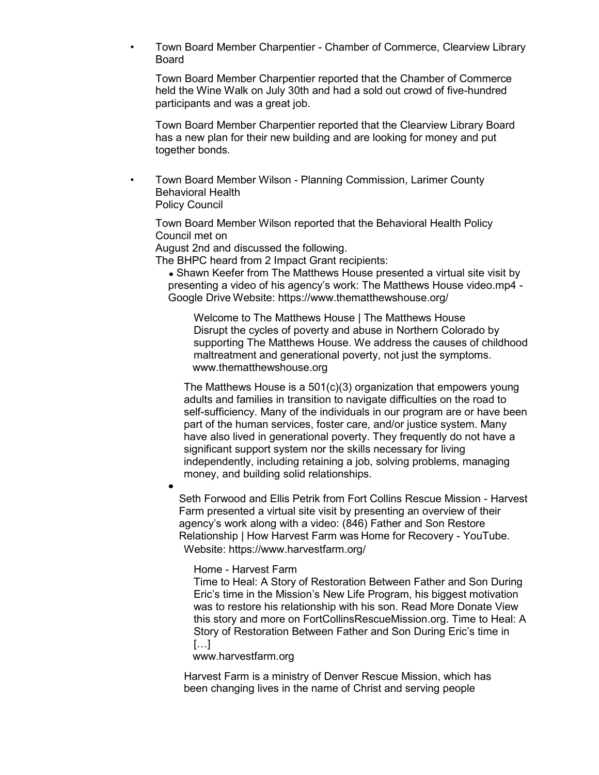• Town Board Member Charpentier - Chamber of Commerce, Clearview Library Board

Town Board Member Charpentier reported that the Chamber of Commerce held the Wine Walk on July 30th and had a sold out crowd of five-hundred participants and was a great job.

Town Board Member Charpentier reported that the Clearview Library Board has a new plan for their new building and are looking for money and put together bonds.

• Town Board Member Wilson - Planning Commission, Larimer County Behavioral Health Policy Council

Town Board Member Wilson reported that the Behavioral Health Policy Council met on

August 2nd and discussed the following.

The BHPC heard from 2 Impact Grant recipients:

• Shawn Keefer from The Matthews House presented a virtual site visit by presenting a video of his agency's work: [The Matthews House video.mp4 -](https://drive.google.com/file/d/1EDFDzoBE4SdNulfJgN82fin8cdA5Sza0/view) [Google Drive](https://drive.google.com/file/d/1EDFDzoBE4SdNulfJgN82fin8cdA5Sza0/view) Website:<https://www.thematthewshouse.org/>

[Welcome to The Matthews House | The Matthews House](https://www.thematthewshouse.org/) Disrupt the cycles of poverty and abuse in Northern Colorado by supporting The Matthews House. We address the causes of childhood maltreatment and generational poverty, not just the symptoms. [www.thematthewshouse.org](http://www.thematthewshouse.org/)

The Matthews House is a 501(c)(3) organization that empowers young adults and families in transition to navigate difficulties on the road to self-sufficiency. Many of the individuals in our program are or have been part of the human services, foster care, and/or justice system. Many have also lived in generational poverty. They frequently do not have a significant support system nor the skills necessary for living independently, including retaining a job, solving problems, managing money, and building solid relationships.

Seth Forwood and Ellis Petrik from Fort Collins Rescue Mission - Harvest Farm presented a virtual site visit by presenting an overview of their agency's work along [with a video: \(846\) Father and Son Restore](https://www.youtube.com/watch?v=kRtmFJvgkX0)  [Relationship | How Harvest Farm was](https://www.youtube.com/watch?v=kRtmFJvgkX0) [Home for Recovery -](https://www.youtube.com/watch?v=kRtmFJvgkX0) YouTube. Website:<https://www.harvestfarm.org/>

Home - [Harvest Farm](https://www.harvestfarm.org/)

Time to Heal: A Story of Restoration Between Father and Son During Eric's time in the Mission's New Life Program, his biggest motivation was to restore his relationship with his son. Read More Donate View this story and more on FortCollinsRescueMission.org. Time to Heal: A Story of Restoration Between Father and Son During Eric's time in […]

[www.harvestfarm.org](http://www.harvestfarm.org/)

Harvest Farm is a ministry of Denver Rescue Mission, which has been changing lives in the name of Christ and serving people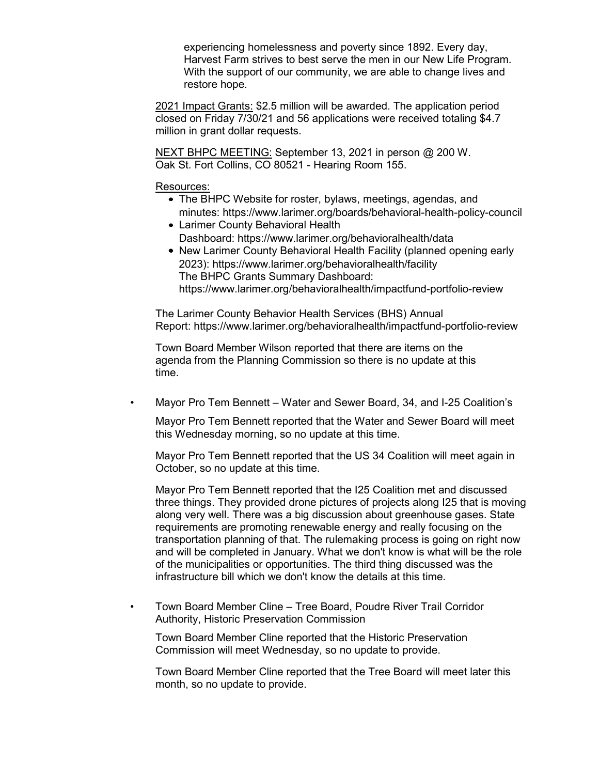experiencing homelessness and poverty since 1892. Every day, Harvest Farm strives to best serve the men in our New Life Program. With the support of our community, we are able to change lives and restore hope.

2021 Impact Grants: \$2.5 million will be awarded. The application period closed on Friday 7/30/21 and 56 applications were received totaling \$4.7 million in grant dollar requests.

NEXT BHPC MEETING: September 13, 2021 in person @ 200 W. Oak St. Fort Collins, CO 80521 - Hearing Room 155.

Resources:

- The BHPC Website for roster, bylaws, meetings, agendas, and minutes:<https://www.larimer.org/boards/behavioral-health-policy-council>
- Larimer County Behavioral Health Dashboard:<https://www.larimer.org/behavioralhealth/data>
- New Larimer County Behavioral Health Facility (planned opening early 2023):<https://www.larimer.org/behavioralhealth/facility> The BHPC Grants Summary Dashboard: <https://www.larimer.org/behavioralhealth/impactfund-portfolio-review>

The Larimer County Behavior Health Services (BHS) Annual Report:<https://www.larimer.org/behavioralhealth/impactfund-portfolio-review>

Town Board Member Wilson reported that there are items on the agenda from the Planning Commission so there is no update at this time.

• Mayor Pro Tem Bennett – Water and Sewer Board, 34, and I-25 Coalition's

Mayor Pro Tem Bennett reported that the Water and Sewer Board will meet this Wednesday morning, so no update at this time.

Mayor Pro Tem Bennett reported that the US 34 Coalition will meet again in October, so no update at this time.

Mayor Pro Tem Bennett reported that the I25 Coalition met and discussed three things. They provided drone pictures of projects along I25 that is moving along very well. There was a big discussion about greenhouse gases. State requirements are promoting renewable energy and really focusing on the transportation planning of that. The rulemaking process is going on right now and will be completed in January. What we don't know is what will be the role of the municipalities or opportunities. The third thing discussed was the infrastructure bill which we don't know the details at this time.

• Town Board Member Cline – Tree Board, Poudre River Trail Corridor Authority, Historic Preservation Commission

Town Board Member Cline reported that the Historic Preservation Commission will meet Wednesday, so no update to provide.

Town Board Member Cline reported that the Tree Board will meet later this month, so no update to provide.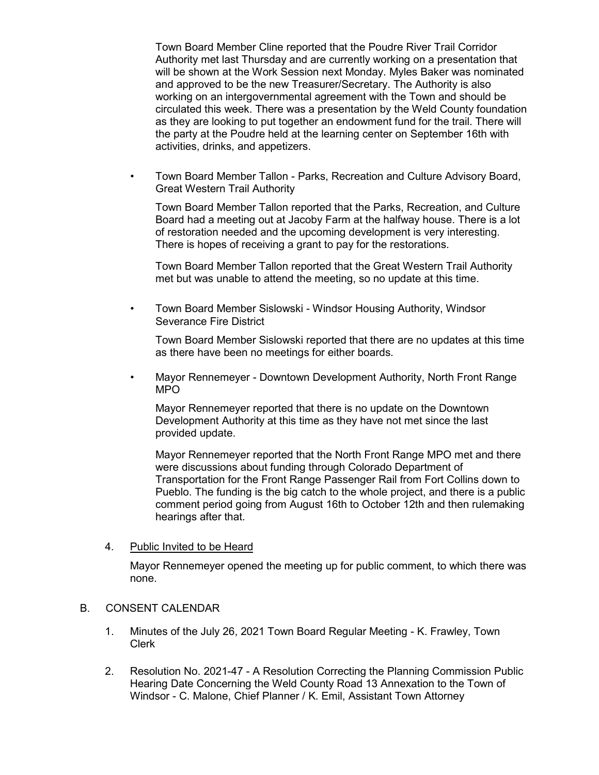Town Board Member Cline reported that the Poudre River Trail Corridor Authority met last Thursday and are currently working on a presentation that will be shown at the Work Session next Monday. Myles Baker was nominated and approved to be the new Treasurer/Secretary. The Authority is also working on an intergovernmental agreement with the Town and should be circulated this week. There was a presentation by the Weld County foundation as they are looking to put together an endowment fund for the trail. There will the party at the Poudre held at the learning center on September 16th with activities, drinks, and appetizers.

• Town Board Member Tallon - Parks, Recreation and Culture Advisory Board, Great Western Trail Authority

Town Board Member Tallon reported that the Parks, Recreation, and Culture Board had a meeting out at Jacoby Farm at the halfway house. There is a lot of restoration needed and the upcoming development is very interesting. There is hopes of receiving a grant to pay for the restorations.

Town Board Member Tallon reported that the Great Western Trail Authority met but was unable to attend the meeting, so no update at this time.

• Town Board Member Sislowski - Windsor Housing Authority, Windsor Severance Fire District

Town Board Member Sislowski reported that there are no updates at this time as there have been no meetings for either boards.

• Mayor Rennemeyer - Downtown Development Authority, North Front Range MPO

Mayor Rennemeyer reported that there is no update on the Downtown Development Authority at this time as they have not met since the last provided update.

Mayor Rennemeyer reported that the North Front Range MPO met and there were discussions about funding through Colorado Department of Transportation for the Front Range Passenger Rail from Fort Collins down to Pueblo. The funding is the big catch to the whole project, and there is a public comment period going from August 16th to October 12th and then rulemaking hearings after that.

4. Public Invited to be Heard

Mayor Rennemeyer opened the meeting up for public comment, to which there was none.

### B. CONSENT CALENDAR

- 1. Minutes of the July 26, 2021 Town Board Regular Meeting K. Frawley, Town Clerk
- 2. Resolution No. 2021-47 A Resolution Correcting the Planning Commission Public Hearing Date Concerning the Weld County Road 13 Annexation to the Town of Windsor - C. Malone, Chief Planner / K. Emil, Assistant Town Attorney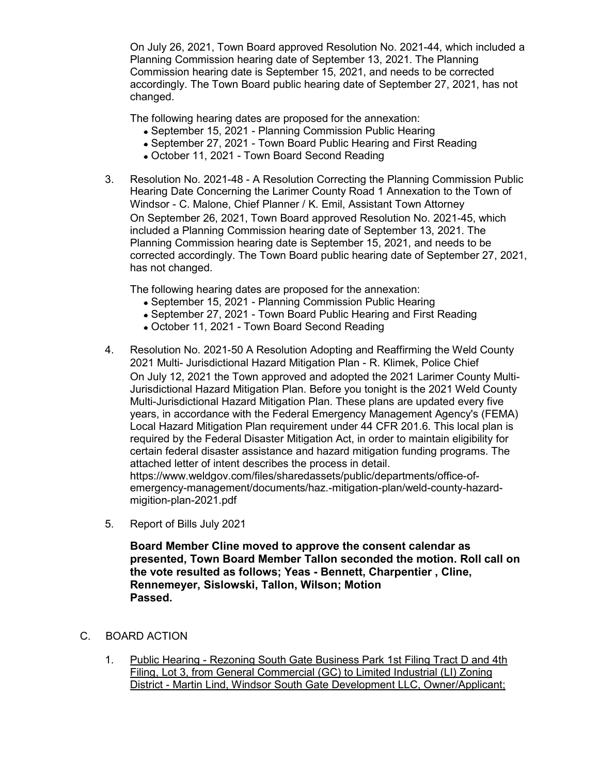On July 26, 2021, Town Board approved Resolution No. 2021-44, which included a Planning Commission hearing date of September 13, 2021. The Planning Commission hearing date is September 15, 2021, and needs to be corrected accordingly. The Town Board public hearing date of September 27, 2021, has not changed.

The following hearing dates are proposed for the annexation:

- September 15, 2021 Planning Commission Public Hearing
- September 27, 2021 Town Board Public Hearing and First Reading
- October 11, 2021 Town Board Second Reading
- 3. Resolution No. 2021-48 A Resolution Correcting the Planning Commission Public Hearing Date Concerning the Larimer County Road 1 Annexation to the Town of Windsor - C. Malone, Chief Planner / K. Emil, Assistant Town Attorney On September 26, 2021, Town Board approved Resolution No. 2021-45, which included a Planning Commission hearing date of September 13, 2021. The Planning Commission hearing date is September 15, 2021, and needs to be corrected accordingly. The Town Board public hearing date of September 27, 2021, has not changed.

The following hearing dates are proposed for the annexation:

- September 15, 2021 Planning Commission Public Hearing
- September 27, 2021 Town Board Public Hearing and First Reading
- October 11, 2021 Town Board Second Reading
- 4. Resolution No. 2021-50 A Resolution Adopting and Reaffirming the Weld County 2021 Multi- Jurisdictional Hazard Mitigation Plan - R. Klimek, Police Chief On July 12, 2021 the Town approved and adopted the 2021 Larimer County Multi-Jurisdictional Hazard Mitigation Plan. Before you tonight is the 2021 Weld County Multi-Jurisdictional Hazard Mitigation Plan. These plans are updated every five years, in accordance with the Federal Emergency Management Agency's (FEMA) Local Hazard Mitigation Plan requirement under 44 CFR 201.6. This local plan is required by the Federal Disaster Mitigation Act, in order to maintain eligibility for certain federal disaster assistance and hazard mitigation funding programs. The attached letter of intent describes the process in detail. https://www.weldgov.com/files/sharedassets/public/departments/office-ofemergency-management/documents/haz.-mitigation-plan/weld-county-hazardmigition-plan-2021.pdf
- 5. Report of Bills July 2021

**Board Member Cline moved to approve the consent calendar as presented, Town Board Member Tallon seconded the motion. Roll call on the vote resulted as follows; Yeas - Bennett, Charpentier , Cline, Rennemeyer, Sislowski, Tallon, Wilson; Motion Passed.**

- C. BOARD ACTION
	- 1. Public Hearing Rezoning South Gate Business Park 1st Filing Tract D and 4th Filing, Lot 3, from General Commercial (GC) to Limited Industrial (LI) Zoning District - Martin Lind, Windsor South Gate Development LLC, Owner/Applicant;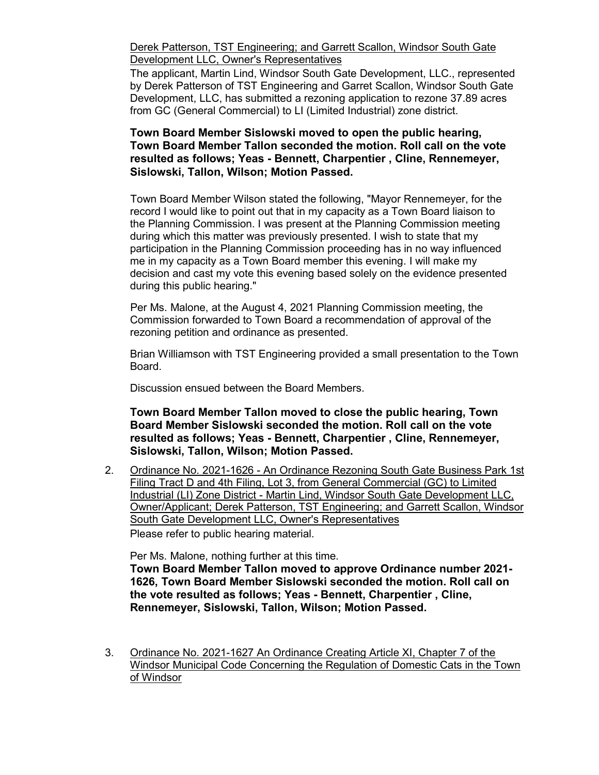Derek Patterson, TST Engineering; and Garrett Scallon, Windsor South Gate Development LLC, Owner's Representatives

The applicant, Martin Lind, Windsor South Gate Development, LLC., represented by Derek Patterson of TST Engineering and Garret Scallon, Windsor South Gate Development, LLC, has submitted a rezoning application to rezone 37.89 acres from GC (General Commercial) to LI (Limited Industrial) zone district.

### **Town Board Member Sislowski moved to open the public hearing, Town Board Member Tallon seconded the motion. Roll call on the vote resulted as follows; Yeas - Bennett, Charpentier , Cline, Rennemeyer, Sislowski, Tallon, Wilson; Motion Passed.**

Town Board Member Wilson stated the following, "Mayor Rennemeyer, for the record I would like to point out that in my capacity as a Town Board liaison to the Planning Commission. I was present at the Planning Commission meeting during which this matter was previously presented. I wish to state that my participation in the Planning Commission proceeding has in no way influenced me in my capacity as a Town Board member this evening. I will make my decision and cast my vote this evening based solely on the evidence presented during this public hearing."

Per Ms. Malone, at the August 4, 2021 Planning Commission meeting, the Commission forwarded to Town Board a recommendation of approval of the rezoning petition and ordinance as presented.

Brian Williamson with TST Engineering provided a small presentation to the Town Board.

Discussion ensued between the Board Members.

**Town Board Member Tallon moved to close the public hearing, Town Board Member Sislowski seconded the motion. Roll call on the vote resulted as follows; Yeas - Bennett, Charpentier , Cline, Rennemeyer, Sislowski, Tallon, Wilson; Motion Passed.**

2. Ordinance No. 2021-1626 - An Ordinance Rezoning South Gate Business Park 1st Filing Tract D and 4th Filing, Lot 3, from General Commercial (GC) to Limited Industrial (LI) Zone District - Martin Lind, Windsor South Gate Development LLC, Owner/Applicant; Derek Patterson, TST Engineering; and Garrett Scallon, Windsor South Gate Development LLC, Owner's Representatives Please refer to public hearing material.

Per Ms. Malone, nothing further at this time.

**Town Board Member Tallon moved to approve Ordinance number 2021- 1626, Town Board Member Sislowski seconded the motion. Roll call on the vote resulted as follows; Yeas - Bennett, Charpentier , Cline, Rennemeyer, Sislowski, Tallon, Wilson; Motion Passed.**

3. Ordinance No. 2021-1627 An Ordinance Creating Article XI, Chapter 7 of the Windsor Municipal Code Concerning the Regulation of Domestic Cats in the Town of Windsor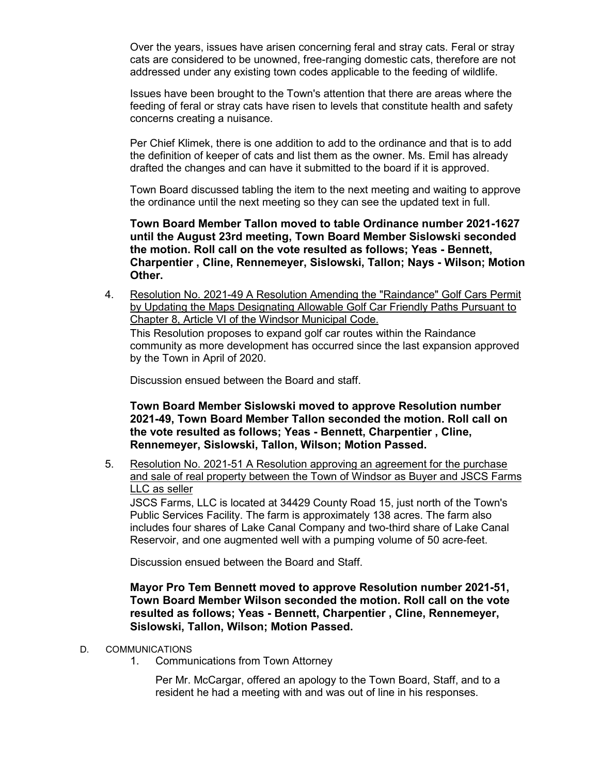Over the years, issues have arisen concerning feral and stray cats. Feral or stray cats are considered to be unowned, free-ranging domestic cats, therefore are not addressed under any existing town codes applicable to the feeding of wildlife.

Issues have been brought to the Town's attention that there are areas where the feeding of feral or stray cats have risen to levels that constitute health and safety concerns creating a nuisance.

Per Chief Klimek, there is one addition to add to the ordinance and that is to add the definition of keeper of cats and list them as the owner. Ms. Emil has already drafted the changes and can have it submitted to the board if it is approved.

Town Board discussed tabling the item to the next meeting and waiting to approve the ordinance until the next meeting so they can see the updated text in full.

**Town Board Member Tallon moved to table Ordinance number 2021-1627 until the August 23rd meeting, Town Board Member Sislowski seconded the motion. Roll call on the vote resulted as follows; Yeas - Bennett, Charpentier , Cline, Rennemeyer, Sislowski, Tallon; Nays - Wilson; Motion Other.**

4. Resolution No. 2021-49 A Resolution Amending the "Raindance" Golf Cars Permit by Updating the Maps Designating Allowable Golf Car Friendly Paths Pursuant to Chapter 8, Article VI of the Windsor Municipal Code. This Resolution proposes to expand golf car routes within the Raindance community as more development has occurred since the last expansion approved by the Town in April of 2020.

Discussion ensued between the Board and staff.

**Town Board Member Sislowski moved to approve Resolution number 2021-49, Town Board Member Tallon seconded the motion. Roll call on the vote resulted as follows; Yeas - Bennett, Charpentier , Cline, Rennemeyer, Sislowski, Tallon, Wilson; Motion Passed.**

5. Resolution No. 2021-51 A Resolution approving an agreement for the purchase and sale of real property between the Town of Windsor as Buyer and JSCS Farms LLC as seller

JSCS Farms, LLC is located at 34429 County Road 15, just north of the Town's Public Services Facility. The farm is approximately 138 acres. The farm also includes four shares of Lake Canal Company and two-third share of Lake Canal Reservoir, and one augmented well with a pumping volume of 50 acre-feet.

Discussion ensued between the Board and Staff.

### **Mayor Pro Tem Bennett moved to approve Resolution number 2021-51, Town Board Member Wilson seconded the motion. Roll call on the vote resulted as follows; Yeas - Bennett, Charpentier , Cline, Rennemeyer, Sislowski, Tallon, Wilson; Motion Passed.**

- D. COMMUNICATIONS
	- 1. Communications from Town Attorney

Per Mr. McCargar, offered an apology to the Town Board, Staff, and to a resident he had a meeting with and was out of line in his responses.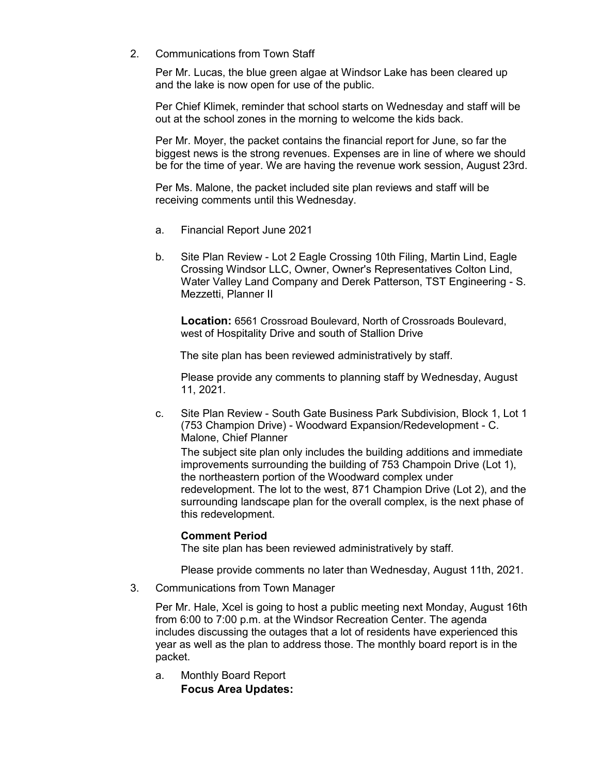2. Communications from Town Staff

Per Mr. Lucas, the blue green algae at Windsor Lake has been cleared up and the lake is now open for use of the public.

Per Chief Klimek, reminder that school starts on Wednesday and staff will be out at the school zones in the morning to welcome the kids back.

Per Mr. Moyer, the packet contains the financial report for June, so far the biggest news is the strong revenues. Expenses are in line of where we should be for the time of year. We are having the revenue work session, August 23rd.

Per Ms. Malone, the packet included site plan reviews and staff will be receiving comments until this Wednesday.

- a. Financial Report June 2021
- b. Site Plan Review Lot 2 Eagle Crossing 10th Filing, Martin Lind, Eagle Crossing Windsor LLC, Owner, Owner's Representatives Colton Lind, Water Valley Land Company and Derek Patterson, TST Engineering - S. Mezzetti, Planner II

**Location:** 6561 Crossroad Boulevard, North of Crossroads Boulevard, west of Hospitality Drive and south of Stallion Drive

The site plan has been reviewed administratively by staff.

Please provide any comments to planning staff by Wednesday, August 11, 2021.

c. Site Plan Review - South Gate Business Park Subdivision, Block 1, Lot 1 (753 Champion Drive) - Woodward Expansion/Redevelopment - C. Malone, Chief Planner

The subject site plan only includes the building additions and immediate improvements surrounding the building of 753 Champoin Drive (Lot 1), the northeastern portion of the Woodward complex under redevelopment. The lot to the west, 871 Champion Drive (Lot 2), and the surrounding landscape plan for the overall complex, is the next phase of this redevelopment.

#### **Comment Period**

The site plan has been reviewed administratively by staff.

Please provide comments no later than Wednesday, August 11th, 2021.

3. Communications from Town Manager

Per Mr. Hale, Xcel is going to host a public meeting next Monday, August 16th from 6:00 to 7:00 p.m. at the Windsor Recreation Center. The agenda includes discussing the outages that a lot of residents have experienced this year as well as the plan to address those. The monthly board report is in the packet.

a. Monthly Board Report

**Focus Area Updates:**